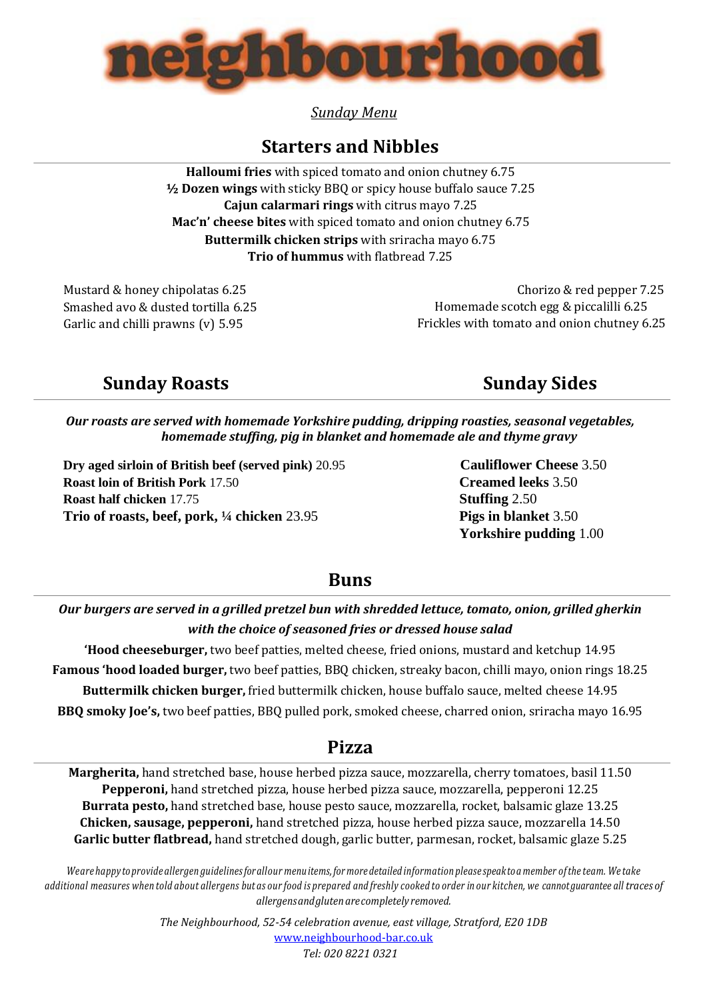

*Sunday Menu*

# **Starters and Nibbles**

**Halloumi fries** with spiced tomato and onion chutney 6.75 **½ Dozen wings** with sticky BBQ or spicy house buffalo sauce 7.25 **Cajun calarmari rings** with citrus mayo 7.25 **Mac'n' cheese bites** with spiced tomato and onion chutney 6.75 **Buttermilk chicken strips** with sriracha mayo 6.75 **Trio of hummus** with flatbread 7.25

Mustard & honey chipolatas 6.25 Smashed avo & dusted tortilla 6.25 Garlic and chilli prawns (v) 5.95

 Chorizo & red pepper 7.25 Homemade scotch egg & piccalilli 6.25 Frickles with tomato and onion chutney 6.25

# **Sunday Roasts** Sunday Sides

*Our roasts are served with homemade Yorkshire pudding, dripping roasties, seasonal vegetables, homemade stuffing, pig in blanket and homemade ale and thyme gravy*

**Dry aged sirloin of British beef (served pink)** 20.95 **Cauliflower Cheese** 3.50 **Roast loin of British Pork** 17.50 **Creamed leeks** 3.50 **Roast half chicken** 17.75 **Stuffing** 2.50 **Trio of roasts, beef, pork, ¼ chicken** 23.95 **Pigs in blanket** 3.50

 **Yorkshire pudding** 1.00

### **Buns**

*Our burgers are served in a grilled pretzel bun with shredded lettuce, tomato, onion, grilled gherkin with the choice of seasoned fries or dressed house salad*

**'Hood cheeseburger,** two beef patties, melted cheese, fried onions, mustard and ketchup 14.95 **Famous 'hood loaded burger,** two beef patties, BBQ chicken, streaky bacon, chilli mayo, onion rings 18.25 **Buttermilk chicken burger,** fried buttermilk chicken, house buffalo sauce, melted cheese 14.95 **BBQ smoky Joe's,** two beef patties, BBQ pulled pork, smoked cheese, charred onion, sriracha mayo 16.95

## **Pizza**

**Margherita,** hand stretched base, house herbed pizza sauce, mozzarella, cherry tomatoes, basil 11.50 **Pepperoni,** hand stretched pizza, house herbed pizza sauce, mozzarella, pepperoni 12.25 **Burrata pesto,** hand stretched base, house pesto sauce, mozzarella, rocket, balsamic glaze 13.25 **Chicken, sausage, pepperoni,** hand stretched pizza, house herbed pizza sauce, mozzarella 14.50 **Garlic butter flatbread,** hand stretched dough, garlic butter, parmesan, rocket, balsamic glaze 5.25

Weare happy to provide alleraen auidelines for allour menuitems, for more detailed information please speak to a member of the team. We take additional measures when told about allergens but as our food is prepared and freshly cooked to order in our kitchen, we cannot guarantee all traces of *allergensandglutenarecompletely removed.*

> *The Neighbourhood, 52-54 celebration avenue, east village, Stratford, E20 1DB* [www.neighbourhood-bar.co.uk](http://www.neighbourhood-bar.co.uk/) *Tel: 020 8221 0321*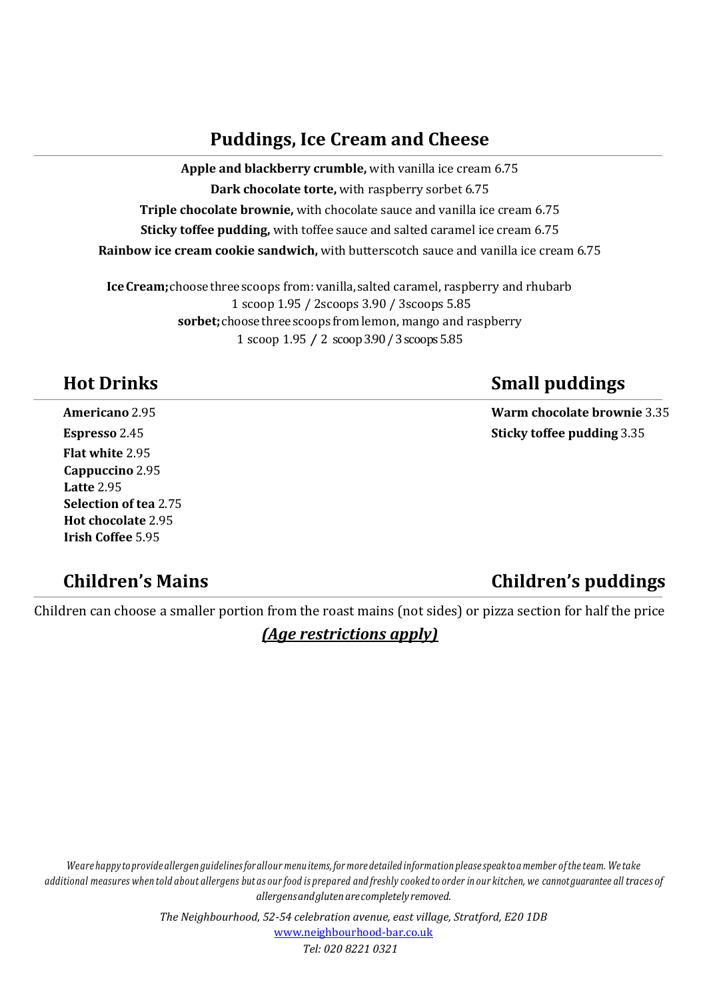## **Puddings, Ice Cream and Cheese**

**Apple and blackberry crumble,** with vanilla ice cream 6.75 **Dark chocolate torte,** with raspberry sorbet 6.75 **Triple chocolate brownie,** with chocolate sauce and vanilla ice cream 6.75 **Sticky toffee pudding,** with toffee sauce and salted caramel ice cream 6.75 **Rainbow ice cream cookie sandwich,** with butterscotch sauce and vanilla ice cream 6.75

**IceCream;**choosethreescoops from:vanilla,salted caramel, raspberry and rhubarb 1 scoop 1.95 / 2scoops 3.90 / 3scoops 5.85 **sorbet;**choosethreescoops from lemon, mango and raspberry 1 scoop 1.95 / 2 scoop 3.90 / 3 scoops 5.85

**Flat white** 2.95 **Cappuccino** 2.95 **Latte** 2.95 **Selection of tea** 2.75 **Hot chocolate** 2.95 **Irish Coffee** 5.95

# **Children's Mains Children's puddings**

# **Hot Drinks Small puddings**

**Americano** 2.95 **Warm chocolate brownie** 3.35 **Espresso** 2.45 **Sticky toffee pudding** 3.35

Children can choose a smaller portion from the roast mains (not sides) or pizza section for half the price

### *(Age restrictions apply)*

Weare happy to provide allergen guidelines for allour menu items, for more detailed information please speak to a member of the team. We take additional measures when told about allergens but as our food is prepared and freshly cooked to order in our kitchen, we cannot guarantee all traces of *allergensandglutenarecompletely removed.*

> *The Neighbourhood, 52-54 celebration avenue, east village, Stratford, E20 1DB* [www.neighbourhood-bar.co.uk](http://www.neighbourhood-bar.co.uk/) *Tel: 020 8221 0321*